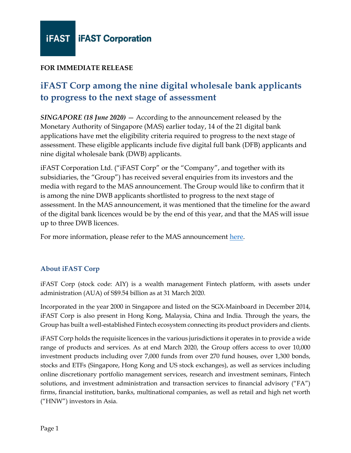

## **FOR IMMEDIATE RELEASE**

## **iFAST Corp among the nine digital wholesale bank applicants to progress to the next stage of assessment**

*SINGAPORE (18 June 2020)* — According to the announcement released by the Monetary Authority of Singapore (MAS) earlier today, 14 of the 21 digital bank applications have met the eligibility criteria required to progress to the next stage of assessment. These eligible applicants include five digital full bank (DFB) applicants and nine digital wholesale bank (DWB) applicants.

iFAST Corporation Ltd. ("iFAST Corp" or the "Company", and together with its subsidiaries, the "Group") has received several enquiries from its investors and the media with regard to the MAS announcement. The Group would like to confirm that it is among the nine DWB applicants shortlisted to progress to the next stage of assessment. In the MAS announcement, it was mentioned that the timeline for the award of the digital bank licences would be by the end of this year, and that the MAS will issue up to three DWB licences.

For more information, please refer to the MAS announcement [here.](https://www.mas.gov.sg/news/media-releases/2020/14-digital-bank-applicants-eligible-for-next-stage-of-assessment)

## **About iFAST Corp**

iFAST Corp (stock code: AIY) is a wealth management Fintech platform, with assets under administration (AUA) of S\$9.54 billion as at 31 March 2020.

Incorporated in the year 2000 in Singapore and listed on the SGX-Mainboard in December 2014, iFAST Corp is also present in Hong Kong, Malaysia, China and India. Through the years, the Group has built a well-established Fintech ecosystem connecting its product providers and clients.

iFAST Corp holds the requisite licences in the various jurisdictions it operates in to provide a wide range of products and services. As at end March 2020, the Group offers access to over 10,000 investment products including over 7,000 funds from over 270 fund houses, over 1,300 bonds, stocks and ETFs (Singapore, Hong Kong and US stock exchanges), as well as services including online discretionary portfolio management services, research and investment seminars, Fintech solutions, and investment administration and transaction services to financial advisory ("FA") firms, financial institution, banks, multinational companies, as well as retail and high net worth ("HNW") investors in Asia.